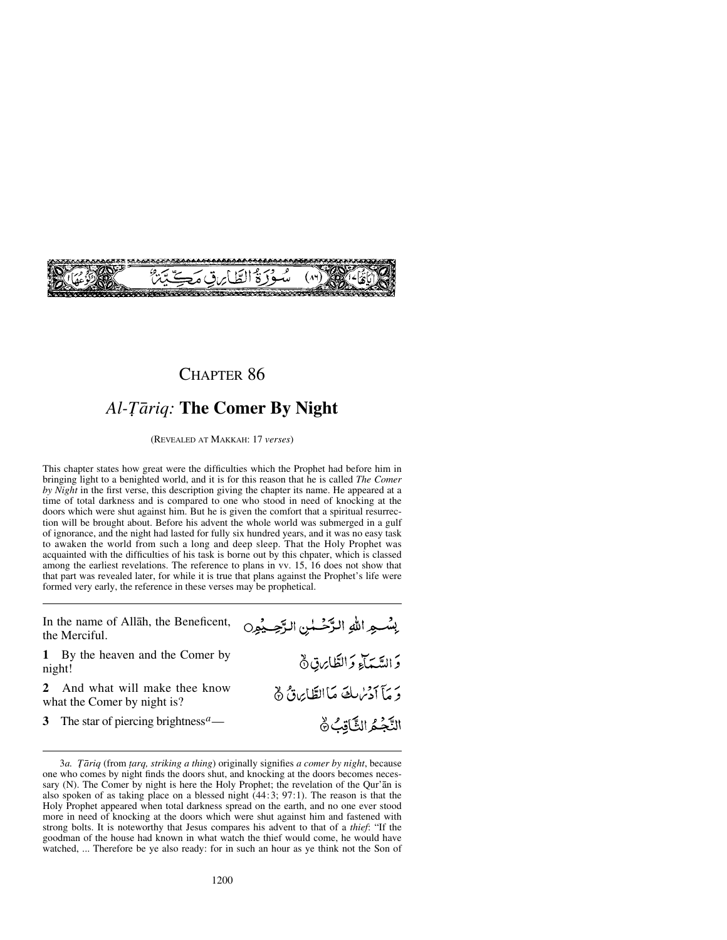

# Al-Tāriq: **The Comer By Night**

(REVEALED AT MAKKAH: 17 *verses*)

This chapter states how great were the difficulties which the Prophet had before him in bringing light to a benighted world, and it is for this reason that he is called *The Comer by Night* in the first verse, this description giving the chapter its name. He appeared at a time of total darkness and is compared to one who stood in need of knocking at the doors which were shut against him. But he is given the comfort that a spiritual resurrection will be brought about. Before his advent the whole world was submerged in a gulf of ignorance, and the night had lasted for fully six hundred years, and it was no easy task to awaken the world from such a long and deep sleep. That the Holy Prophet was acquainted with the difficulties of his task is borne out by this chpater, which is classed among the earliest revelations. The reference to plans in vv. 15, 16 does not show that that part was revealed later, for while it is true that plans against the Prophet's life were formed very early, the reference in these verses may be prophetical.

| In the name of Allah, the Beneficent,<br>the Merciful.      | بِسُــهِ اللهِ الرَّحْــلِينِ الرَّحِــيْمِرِ |
|-------------------------------------------------------------|-----------------------------------------------|
| 1 By the heaven and the Comer by<br>night!                  | دَ السَّيَمَآءِ دَ الطَّابِرِينَ $\delta$     |
| And what will make thee know<br>what the Comer by night is? | وَ مَأَ أَدْسُرِيكَ مَا الطَّايِرَةُ ﴾        |
| 3 The star of piercing brightness <sup><i>a</i></sup> —     | النَّجُمُ الثَّاقِبُ ۞                        |

<sup>3</sup>*a. Ôåriq* (from *∆arq, striking a thing*) originally signifies *a comer by night*, because one who comes by night finds the doors shut, and knocking at the doors becomes necessary (N). The Comer by night is here the Holy Prophet; the revelation of the Qur'ån is also spoken of as taking place on a blessed night  $(44:3; 97:1)$ . The reason is that the Holy Prophet appeared when total darkness spread on the earth, and no one ever stood more in need of knocking at the doors which were shut against him and fastened with strong bolts. It is noteworthy that Jesus compares his advent to that of a *thief*: "If the goodman of the house had known in what watch the thief would come, he would have watched, ... Therefore be ye also ready: for in such an hour as ye think not the Son of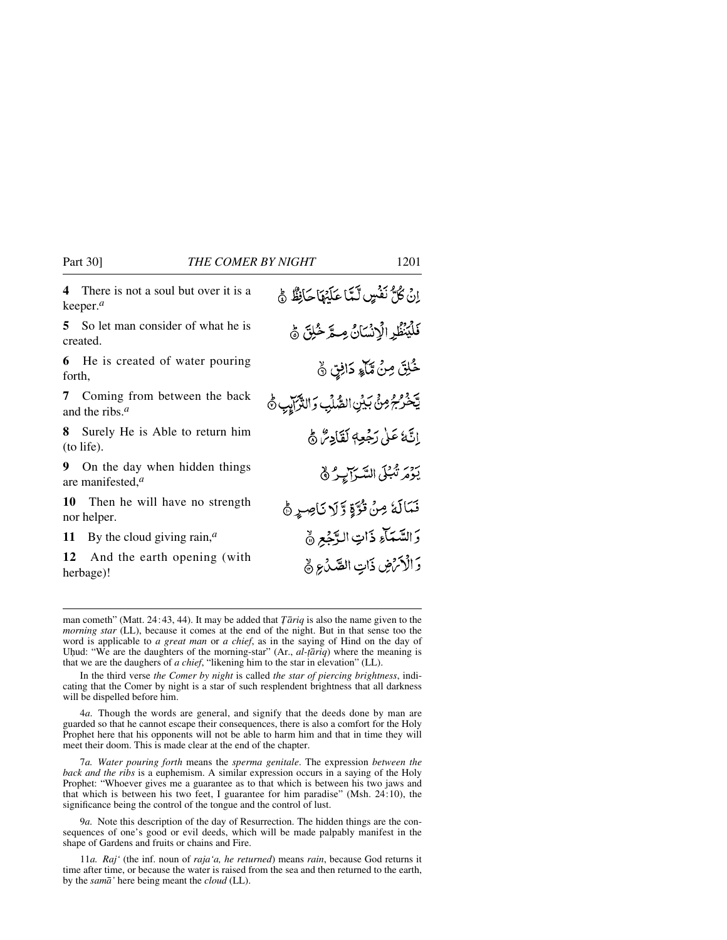**4** There is not a soul but over it is a keeper.*<sup>a</sup>*

**5** So let man consider of what he is created.

**6** He is created of water pouring forth,

**7** Coming from between the back and the ribs.*<sup>a</sup>*

**8** Surely He is Able to return him (to life).

**9** On the day when hidden things are manifested,*<sup>a</sup>*

**10** Then he will have no strength nor helper.

**11** By the cloud giving rain,*<sup>a</sup>*

**12** And the earth opening (with herbage)!

اِنْ كُلُّ نَفْسٍ لَّمَّا عَلَيْهَا حَانِظٌ جُ فَلْيَنْظُرِ الْإِنْسَانُ مِسَّرِ خُلِقَ ﴾ خُلِقَ مِنْ مِّآءٍ دَانِقٍ نَّ يَّخْرُجُ مِنْ بَيْنِ الصُّلِّبِ وَالثَّرَابِيِّ ﴾ إنَّهُ عَلَىٰ رَجُعِهٖ لَقَادِئٌ ﴾ يَوْمَ تَّبُلَى السَّرَآيِرُ ﴾ نَمَالَهُ مِنْ تُرَّةٍ وَّلَا نَاصِرٍ ﴾ وَالسَّمَآءِ ذَاتِ الدَّجْعِ ۞ وَالْأَمْضِ ذَاتِ الصَّدُعِ ﴾

man cometh" (Matt. 24:43, 44). It may be added that  $\overline{T}$  *ariq* is also the name given to the *morning star* (LL), because it comes at the end of the night. But in that sense too the word is applicable to *a great man* or *a chief*, as in the saying of Hind on the day of Uhud: "We are the daughters of the morning-star" (Ar., *al-țāriq*) where the meaning is that we are the daughers of *a chief*, "likening him to the star in elevation" (LL).

In the third verse *the Comer by night* is called *the star of piercing brightness*, indicating that the Comer by night is a star of such resplendent brightness that all darkness will be dispelled before him.

4*a.* Though the words are general, and signify that the deeds done by man are guarded so that he cannot escape their consequences, there is also a comfort for the Holy Prophet here that his opponents will not be able to harm him and that in time they will meet their doom. This is made clear at the end of the chapter.

7*a. Water pouring forth* means the *sperma genitale*. The expression *between the back and the ribs* is a euphemism. A similar expression occurs in a saying of the Holy Prophet: "Whoever gives me a guarantee as to that which is between his two jaws and that which is between his two feet, I guarantee for him paradise" (Msh. 24:10), the significance being the control of the tongue and the control of lust.

9*a.* Note this description of the day of Resurrection. The hidden things are the consequences of one's good or evil deeds, which will be made palpably manifest in the shape of Gardens and fruits or chains and Fire.

11*a. Raj'* (the inf. noun of *raja'a, he returned*) means *rain*, because God returns it time after time, or because the water is raised from the sea and then returned to the earth, by the *samå'* here being meant the *cloud* (LL).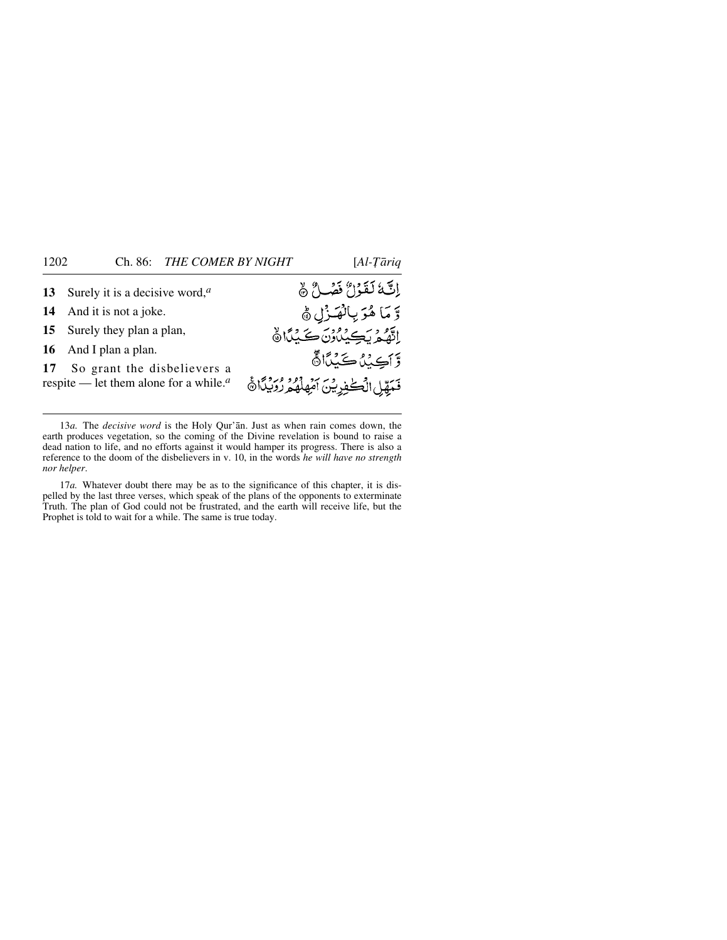| 13 Surely it is a decisive word, $a$      | إِنَّكَ لَقَوْلٌ فَضْلٌ ﴾                          |
|-------------------------------------------|----------------------------------------------------|
| 14 And it is not a joke.                  | وَّ مَا هُوَ بِالْفَـزْلِ ﴾                        |
| 15 Surely they plan a plan,               | اته ويكندون كيدًا                                  |
| 16 And I plan a plan.                     | وَّآكِيْنُ كَيْنَا آَنَّ                           |
| 17 So grant the disbelievers a            |                                                    |
| respite — let them alone for a while. $a$ | قَمَقِّلِ الْكُفُورِيْنَ أَمْهِلُهُ هُ رُوَيْدًا ﴾ |
|                                           |                                                    |

13*a.* The *decisive word* is the Holy Qur'ån. Just as when rain comes down, the earth produces vegetation, so the coming of the Divine revelation is bound to raise a dead nation to life, and no efforts against it would hamper its progress. There is also a reference to the doom of the disbelievers in v. 10, in the words *he will have no strength nor helper*.

17*a.* Whatever doubt there may be as to the significance of this chapter, it is dispelled by the last three verses, which speak of the plans of the opponents to exterminate Truth. The plan of God could not be frustrated, and the earth will receive life, but the Prophet is told to wait for a while. The same is true today.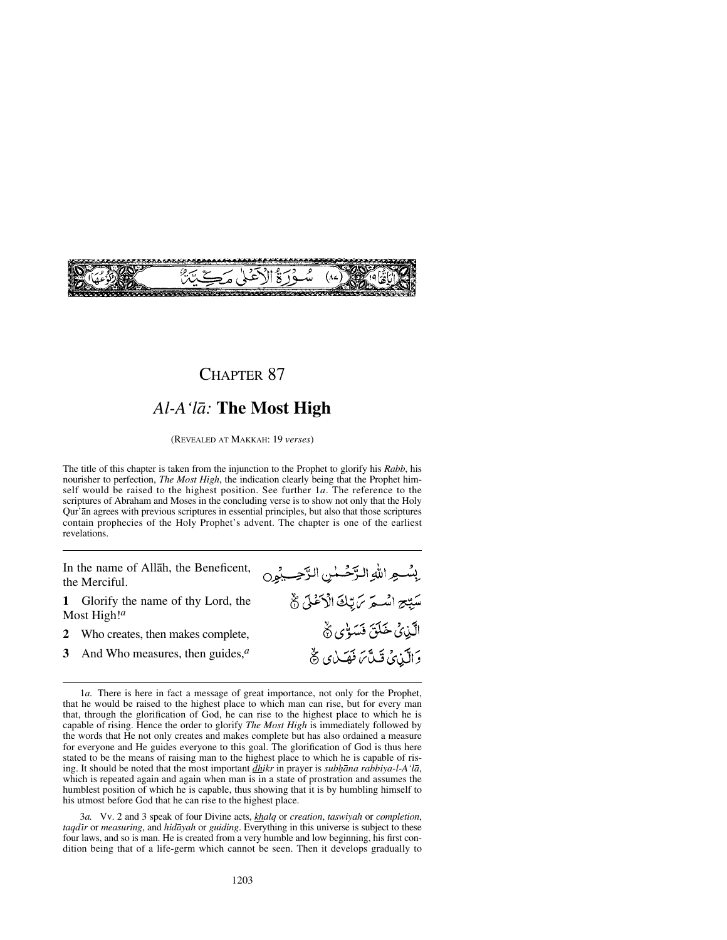

## *Al-A'lå:* **The Most High**

(REVEALED AT MAKKAH: 19 *verses*)

The title of this chapter is taken from the injunction to the Prophet to glorify his *Rabb*, his nourisher to perfection, *The Most High*, the indication clearly being that the Prophet himself would be raised to the highest position. See further 1*a*. The reference to the scriptures of Abraham and Moses in the concluding verse is to show not only that the Holy Qur'ån agrees with previous scriptures in essential principles, but also that those scriptures contain prophecies of the Holy Prophet's advent. The chapter is one of the earliest revelations.

بِسُـهِ اللهِ الرَّحَـٰمٰنِ الرَّحِــبُمِن

سَيِّحِ اسْتَرَ مَ يِّكَ الْأَعْلَى ثَ

الَّذِيْ خَلَقَ فَسَوْى ثَمَّ

وَالَّيْنِيُّ قَيْلَّمَ فَقَيْلُي تَّ

In the name of Allåh, the Beneficent, the Merciful.

- **1** Glorify the name of thy Lord, the Most High!*<sup>a</sup>*
- 2 Who creates, then makes complete,<br>3 And Who measures, then guides,<sup>*a*</sup>
- **3** And Who measures, then guides,*<sup>a</sup>*

3*a.* Vv. 2 and 3 speak of four Divine acts, *khalq* or *creation*, *taswiyah* or *completion*, *taqdßr* or *measuring*, and *hidåyah* or *guiding*. Everything in this universe is subject to these four laws, and so is man. He is created from a very humble and low beginning, his first condition being that of a life-germ which cannot be seen. Then it develops gradually to

<sup>1</sup>*a.* There is here in fact a message of great importance, not only for the Prophet, that he would be raised to the highest place to which man can rise, but for every man that, through the glorification of God, he can rise to the highest place to which he is capable of rising. Hence the order to glorify *The Most High* is immediately followed by the words that He not only creates and makes complete but has also ordained a measure for everyone and He guides everyone to this goal. The glorification of God is thus here stated to be the means of raising man to the highest place to which he is capable of rising. It should be noted that the most important *dhikr* in prayer is *sub√åna rabbiya-l-A'lå*, which is repeated again and again when man is in a state of prostration and assumes the humblest position of which he is capable, thus showing that it is by humbling himself to his utmost before God that he can rise to the highest place.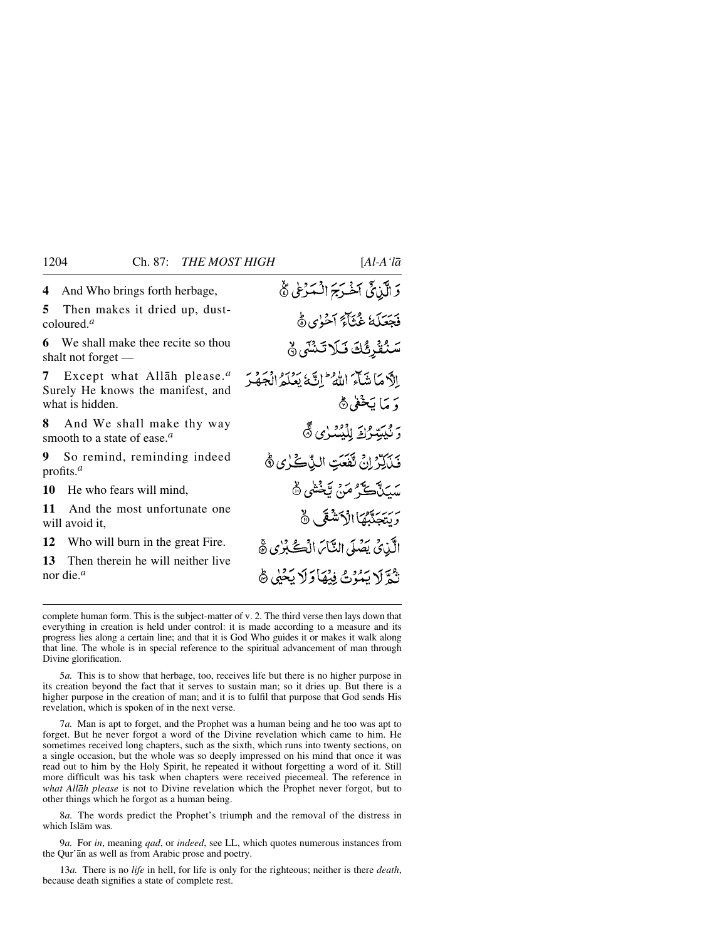**4** And Who brings forth herbage,

**5** Then makes it dried up, dustcoloured.*<sup>a</sup>*

**6** We shall make thee recite so thou shalt not forget —

**7** Except what Allåh please.*<sup>a</sup>* Surely He knows the manifest, and what is hidden.

**8** And We shall make thy way smooth to a state of ease.*<sup>a</sup>*

**9** So remind, reminding indeed profits.*<sup>a</sup>*

**10** He who fears will mind,<br>**11** And the most unforture

And the most unfortunate one will avoid it,

**12** Who will burn in the great Fire.<br>**13** Then therein he will neither live

**13** Then therein he will neither live nor die.*<sup>a</sup>*

وَ الَّذِيَّ اَخْرَجَ الْمَرْعِي يُّ فَجَعَلَهُ غُثَاَءً آخُوٰى هُ سَنُقْرِئُكَ فَلَا تَنْشَى ﴾ الآما ينبآءَ اللهُ ۖ إِنَّ مَا يَعْدَدُ الْجَهْبَ دَ مَا يَخْفِي۞ رْ بْيِيْتِرْكَ لِلْيُسْرٰى ﴾ فَيَأَكِّرْ إِنْ تَفَعَتِ النِّكَّ كُلُّ يُ سَيَدَتَ تَ مَنْ تَخْشَى ۞ يرسيديهما الأحشقي ١٥ الَّذِينَ يَصُلَى النَّاسَ الْڪُبُرٰي ڇَ نْدَّ لَا يَبُدُّتُ فِيهَادَ لَا يَحْيِي ﴾

complete human form. This is the subject-matter of v. 2. The third verse then lays down that everything in creation is held under control: it is made according to a measure and its progress lies along a certain line; and that it is God Who guides it or makes it walk along that line. The whole is in special reference to the spiritual advancement of man through Divine glorification.

5*a.* This is to show that herbage, too, receives life but there is no higher purpose in its creation beyond the fact that it serves to sustain man; so it dries up. But there is a higher purpose in the creation of man; and it is to fulfil that purpose that God sends His revelation, which is spoken of in the next verse.

7*a.* Man is apt to forget, and the Prophet was a human being and he too was apt to forget. But he never forgot a word of the Divine revelation which came to him. He sometimes received long chapters, such as the sixth, which runs into twenty sections, on a single occasion, but the whole was so deeply impressed on his mind that once it was read out to him by the Holy Spirit, he repeated it without forgetting a word of it. Still more difficult was his task when chapters were received piecemeal. The reference in *what Allåh please* is not to Divine revelation which the Prophet never forgot, but to other things which he forgot as a human being.

8*a.* The words predict the Prophet's triumph and the removal of the distress in which Islåm was.

9*a.* For *in*, meaning *qad*, or *indeed*, see LL, which quotes numerous instances from the Qur'ån as well as from Arabic prose and poetry.

13*a.* There is no *life* in hell, for life is only for the righteous; neither is there *death*, because death signifies a state of complete rest.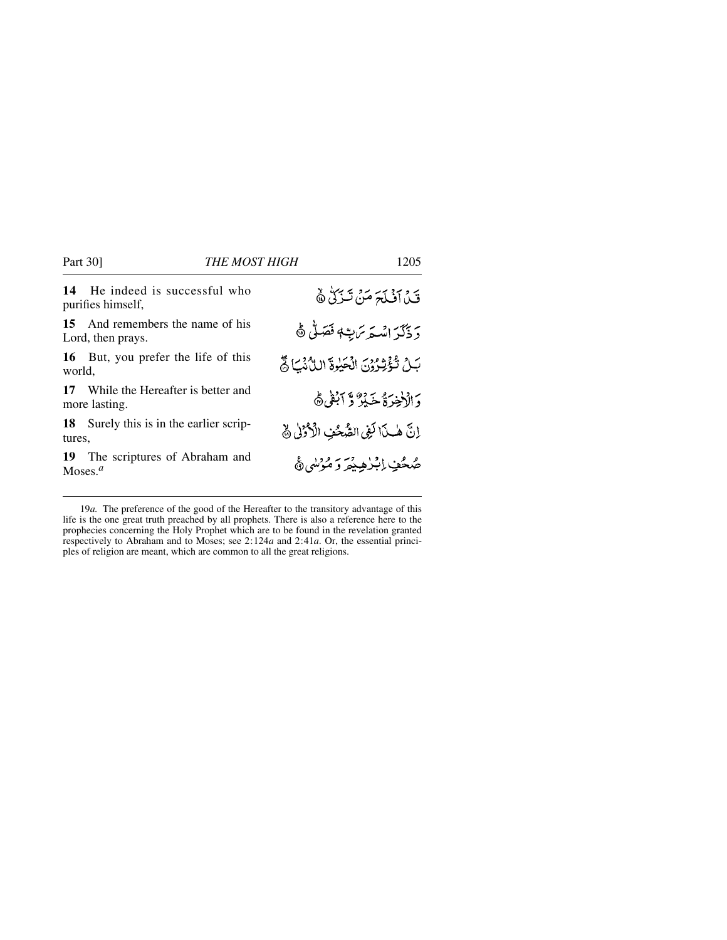**14** He indeed is successful who purifies himself, **15** And remembers the name of his

Lord, then prays.

**16** But, you prefer the life of this world,

**17** While the Hereafter is better and more lasting.

**18** Surely this is in the earlier scriptures,

**19** The scriptures of Abraham and Moses.*<sup>a</sup>*

قَنْ آفْلَحَ مَنْ تَنْزَلْ ﴾ دَ ذَكَرَ اسْتَدَّتَ بِيَّةٍ فَقَدَنَّى ﴾ بَلِّ نُؤْثِرُوْنَ الْحَيْرَةَ الدُّنْكَ وَّ دَ الْأَخِرَةُ خَبِيرٌ وَّ اَبْقَى ۞ إِنَّ هٰذَا لَفِي الصُّحُفِ الْأَرْزِلِي نَّ صُحُفٍ إِبْرٰهِ يُمَرَ وَ مُؤْسَىٰ ﴾

19*a.* The preference of the good of the Hereafter to the transitory advantage of this life is the one great truth preached by all prophets. There is also a reference here to the prophecies concerning the Holy Prophet which are to be found in the revelation granted respectively to Abraham and to Moses; see 2:124*a* and 2:41*a*. Or, the essential principles of religion are meant, which are common to all the great religions.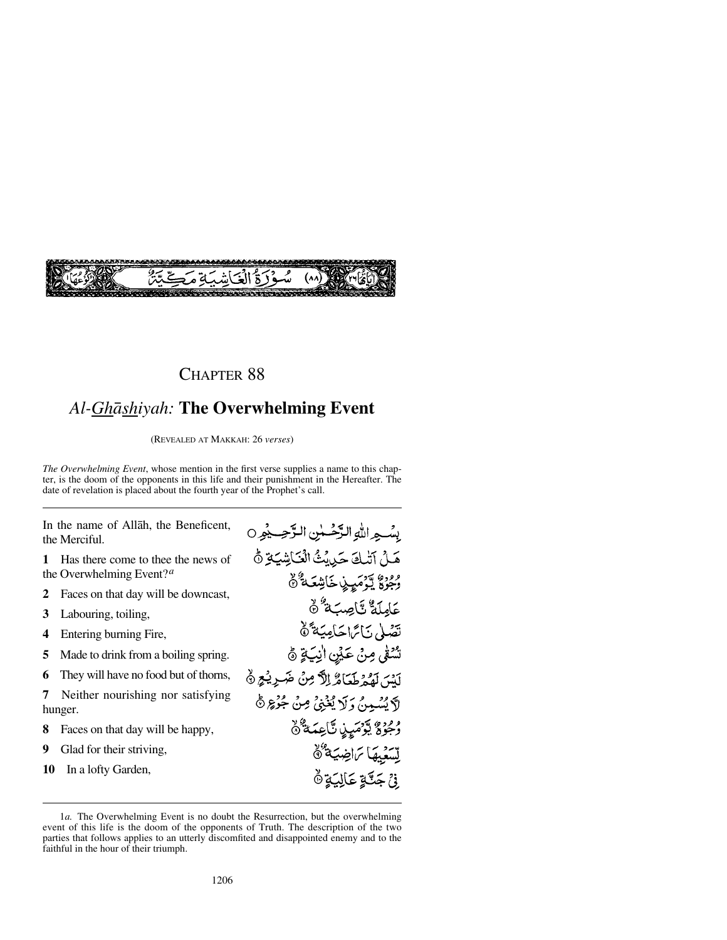

# *Al-Ghåshiyah:* **The Overwhelming Event**

(REVEALED AT MAKKAH: 26 *verses*)

*The Overwhelming Event*, whose mention in the first verse supplies a name to this chapter, is the doom of the opponents in this life and their punishment in the Hereafter. The date of revelation is placed about the fourth year of the Prophet's call.

In the name of Allåh, the Beneficent, the Merciful.

**1** Has there come to thee the news of the Overwhelming Event?*<sup>a</sup>*

- 2 Faces on that day will be downcast,<br>**3** Labouring, toiling,
- **3** Labouring, toiling,
- **4** Entering burning Fire,<br>**5** Made to drink from a h
- **5** Made to drink from a boiling spring.<br>**6** They will have no food but of thorns.
- **6** They will have no food but of thorns,<br>**7** Neither nourishing nor satisfying

**7** Neither nourishing nor satisfying hunger.

- **8** Faces on that day will be happy,<br>**9** Glad for their striving.
- **9** Glad for their striving,
- **10** In a lofty Garden,

بِسُبِهِ اللَّهِ الزَّحْسِينِ الزَّحِسِيْمِ 0 هَــِنْ آتْبِكَ حَيْدِيْثُ الْعَبَاشِيَةِ نَّ وْدِوْءٌ لِيَوۡمَىٰنِيۡ خَاشِعَـٰهُ ۚ ۞ عَامِلَةٌ تَاصِبَةٌ \* \* تَصَلَّى نَائِمَا حَامِيَةً ﴾ سُنْفَى مِنْ عَيْنِ اٰنِيَةٍ ۞ لَسْ لَقِيمٌ طَعَامٌ إِلاَّ مِنْ ضَرِيْجٍ ۞ لاَ يُسْمِدُ، وَلَا يُغْبِيْ مِنْ جُوُعٍ ﴾ وَجُوْعٌ يَوْمَىٍنِ تَاعِمَةٌ ﴾ ت وي) تراضية هُ ِ فِيَ جَنَّةٍ عَالِيَةٍ ۞

<sup>1</sup>*a.* The Overwhelming Event is no doubt the Resurrection, but the overwhelming event of this life is the doom of the opponents of Truth. The description of the two parties that follows applies to an utterly discomfited and disappointed enemy and to the faithful in the hour of their triumph.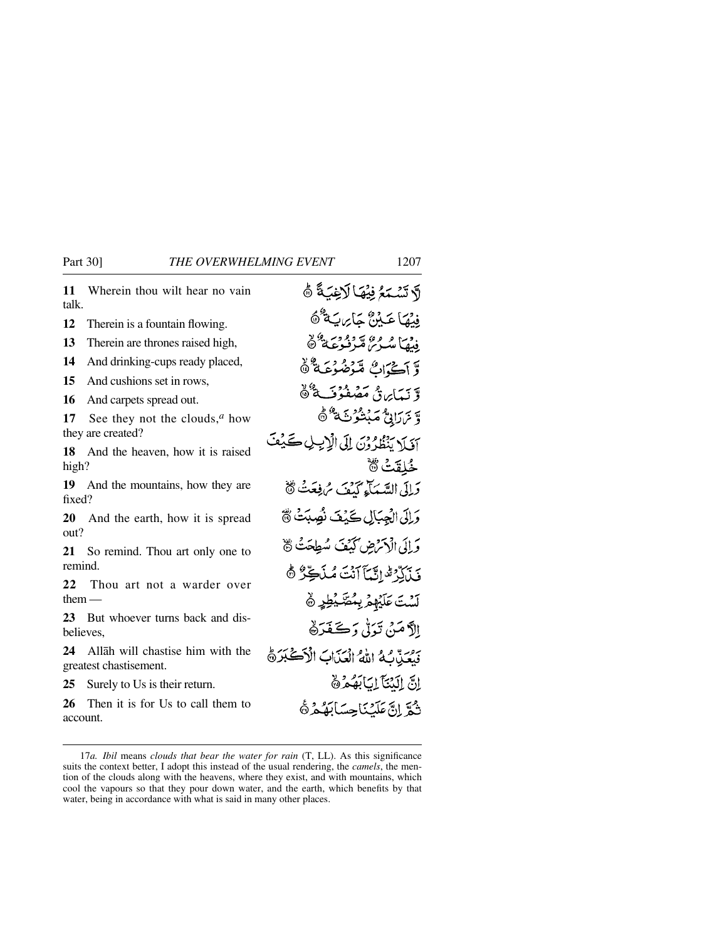**11** Wherein thou wilt hear no vain talk.

**12** Therein is a fountain flowing.<br>**13** Therein are thrones raised high

**13** Therein are thrones raised high,<br>**14** And drinking-cups ready placed

**14** And drinking-cups ready placed,<br>**15** And cushions set in rows

**15** And cushions set in rows,<br>**16** And carnets spread out.

16 And carpets spread out.<br>17 See they not the clou

See they not the clouds, $^a$  how they are created?

**18** And the heaven, how it is raised high?

**19** And the mountains, how they are fixed?

**20** And the earth, how it is spread out?

21 So remind. Thou art only one to remind.

**22** Thou art not a warder over them —

**23** But whoever turns back and disbelieves,

**24** Allåh will chastise him with the greatest chastisement.

25 Surely to Us is their return.<br>26 Then it is for Us to call t

Then it is for U<sub>s</sub> to call them to account.

لَا تَسْمَعُ فِيْهَا لَاغِيَةً ﴾ فبنقاعَةُ؟ جَابِرتَهُ ۖ ثَا فدميا مرع ه په د وَّ نَيَدَايِرَةٌ مَصْر وَّ يَرَرَانِيُّ مَبْنُوْثَ<sup>8</sup> هُ آفَلَا يَنْظُرُوْنَ إِلَى الْإِيلِ كَيْفَ حُلقَتْ ۞ وَإِلَى السَّبِيَآءِ كَيْفَ سُ فِعَتْ لَهُ وَإِلَى الْجِبَالِ كَيْفَ نُصِيَتْ ﴾ وَ إِلَى الْأَمْرَضِ كَيْفَ سُطِحَتْ ﴾ فَيْأَبِّرْ قَالِيَّكَأَنَّتَ مُنْآَكِّرٌ ﴾ لَّسْتَ عَلَيْهِمْ بِمُصَّيْطِرٍ ﴾ الآمَنْ تَدَلَّىٰ دَڪَفَدَهُا فَيُعَيِّكُمُ اللَّهُ الْعَذَابَ الْأَكْبَرَةُ اِنَّ اِلَنْتَآ اِبَابَهُمْ & ثُمَّ إِنَّ عَلَّيْنَا حِسَابَهُمْ ثَ

<sup>17</sup>*a. Ibil* means *clouds that bear the water for rain* (T, LL). As this significance suits the context better, I adopt this instead of the usual rendering, the *camels*, the mention of the clouds along with the heavens, where they exist, and with mountains, which cool the vapours so that they pour down water, and the earth, which benefits by that water, being in accordance with what is said in many other places.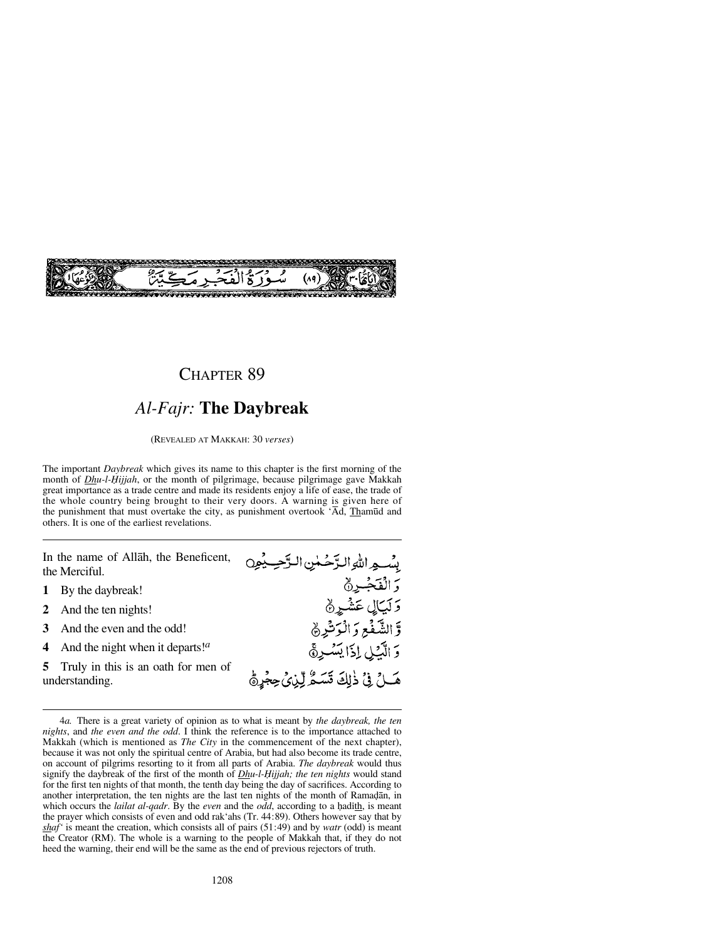

# *Al-Fajr:* **The Daybreak**

(REVEALED AT MAKKAH: 30 *verses*)

The important *Daybreak* which gives its name to this chapter is the first morning of the month of *Dhu-l-Hijjah*, or the month of pilgrimage, because pilgrimage gave Makkah great importance as a trade centre and made its residents enjoy a life of ease, the trade of the whole country being brought to their very doors. A warning is given here of the punishment that must overtake the city, as punishment overtook 'Åd, Tham∂d and others. It is one of the earliest revelations.

In the name of Allåh, the Beneficent, the Merciful.

- **1** By the daybreak!
- **2** And the ten nights!
- **3** And the even and the odd!
- **4** And the night when it departs!*<sup>a</sup>*
- **5** Truly in this is an oath for men of understanding.



<sup>4</sup>*a.* There is a great variety of opinion as to what is meant by *the daybreak, the ten nights*, and *the even and the odd*. I think the reference is to the importance attached to Makkah (which is mentioned as *The City* in the commencement of the next chapter), because it was not only the spiritual centre of Arabia, but had also become its trade centre, on account of pilgrims resorting to it from all parts of Arabia. *The daybreak* would thus signify the daybreak of the first of the month of *Dhu-l-Hijjah; the ten nights* would stand for the first ten nights of that month, the tenth day being the day of sacrifices. According to another interpretation, the ten nights are the last ten nights of the month of Ramadan, in which occurs the *lailat al-qadr*. By the *even* and the *odd*, according to a hadith, is meant the prayer which consists of even and odd rak'ahs (Tr. 44:89). Others however say that by *shaf'* is meant the creation, which consists all of pairs (51:49) and by *watr* (odd) is meant the Creator (RM). The whole is a warning to the people of Makkah that, if they do not heed the warning, their end will be the same as the end of previous rejectors of truth.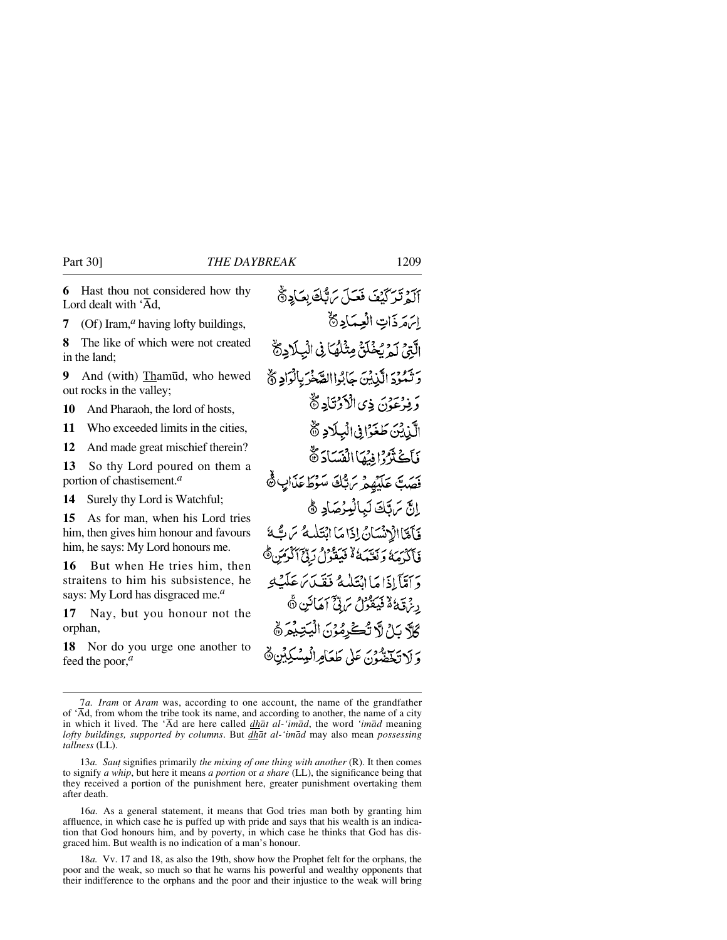**6** Hast thou not considered how thy Lord dealt with  $\overline{A}d$ .

**7** (Of) Iram,*<sup>a</sup>* having lofty buildings,

**8** The like of which were not created in the land;

**9** And (with) Thamūd, who hewed out rocks in the valley;

**10** And Pharaoh, the lord of hosts,

**11** Who exceeded limits in the cities,

**12** And made great mischief therein?

**13** So thy Lord poured on them a portion of chastisement.*<sup>a</sup>*

**14** Surely thy Lord is Watchful;

**15** As for man, when his Lord tries him, then gives him honour and favours him, he says: My Lord honours me.

**16** But when He tries him, then straitens to him his subsistence, he says: My Lord has disgraced me.*<sup>a</sup>*

**17** Nay, but you honour not the orphan,

**18** Nor do you urge one another to feed the poor,*<sup>a</sup>*

آلهُ تَرَكَّيْفَ فَعَيِّلَ بِرَبُّكَ بِعَادِرَةٌ إتهقرذات العسكادة الَّتِيَّ لَمْ يُخْلَقُ مِثْلُهُا فِي الْبِلَادِيٌّ رَ تَمُوْدَ الَّذِيْنَ حَايُواالصَّغْرَ بِالْوَادِيُّ وَفِرْعَوْنَ ذِى الْأَوْتَادِ ﴾ الَّذِيْنَ طَغَوَّا فِي الْبِلَادِ ﴾ فَأَكْثَرُوْا يِّيهَا الْفَسَادَةُ فَصَبَّ عَلَيْهِمْ مَ بُّكَ سَوْطَ عَذَابٍ ﴾ اِنَّ مَرتَكَ لَبَالْبِرُصَادِ ﴾ وَإِمَّةَ الْإِدْنَسَانُ إِذَا مَا انْتَلَبِهُ سَ تَّ مَّا فَأَكَدُمَهُ وَنَعْبَهُ لَهُ فَيَقُوْلُ رَدِّحَ ٱلْدِمَنِ ﴾ وَإِمَّآاَوۡامَاالۡتَلَيۡهُ فَقَيۡدَيۡ عَلَيۡتَهِ رِيزَ قِيَاءُ فَيَتَقُونُ بِرَبِّيٌّ أَهَانَيْنِ ۞ كَلَّهُ سَلِّ لَهُ تُكْرِمُوْنَ الْيَتِيْمَرَ ﴾ وَ لَا تَخَضُّونَ عَلَى طَعَامِ الْمِسْكِينِينَ

<sup>7</sup>*a. Iram* or *Aram* was, according to one account, the name of the grandfather of 'Åd, from whom the tribe took its name, and according to another, the name of a city in which it lived. The 'Åd are here called *dhåt al-'imåd*, the word *'imåd* meaning *lofty buildings, supported by columns*. But *dhåt al-'imåd* may also mean *possessing tallness* (LL).

<sup>13</sup>*a. Sau∆* signifies primarily *the mixing of one thing with another* (R). It then comes to signify *a whip*, but here it means *a portion* or *a share* (LL), the significance being that they received a portion of the punishment here, greater punishment overtaking them after death.

<sup>16</sup>*a.* As a general statement, it means that God tries man both by granting him affluence, in which case he is puffed up with pride and says that his wealth is an indication that God honours him, and by poverty, in which case he thinks that God has disgraced him. But wealth is no indication of a man's honour.

<sup>18</sup>*a.* Vv. 17 and 18, as also the 19th, show how the Prophet felt for the orphans, the poor and the weak, so much so that he warns his powerful and wealthy opponents that their indifference to the orphans and the poor and their injustice to the weak will bring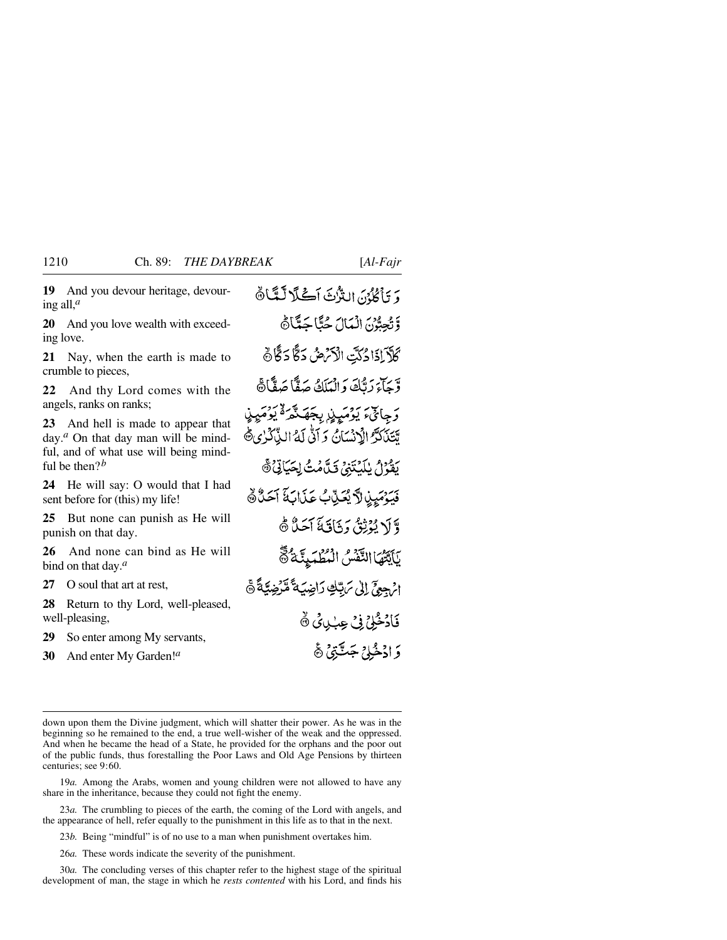**19** And you devour heritage, devouring all,*<sup>a</sup>*

**20** And you love wealth with exceeding love.

**21** Nay, when the earth is made to crumble to pieces,

**22** And thy Lord comes with the angels, ranks on ranks;

**23** And hell is made to appear that day.<sup>*a*</sup> On that day man will be mindful, and of what use will being mindful be then?*<sup>b</sup>*

**24** He will say: O would that I had sent before for (this) my life!

**25** But none can punish as He will punish on that day.

**26** And none can bind as He will bind on that day.*<sup>a</sup>*

**27** O soul that art at rest,

**28** Return to thy Lord, well-pleased, well-pleasing,

**29** So enter among My servants,

**30** And enter My Garden!*<sup>a</sup>*

وَ يَأْكُرُنَ التَّرْثَ اَكْلَالَتَّاتَّ وَتَجِعُوْنَ الْمَالَ حُتَّاجَةًاهَا ؘػڷۜڒؘٳۮؘٳۮػؾؚ ٳڷۯٙ؆ڞؙۦػڰٞٵۮڰ۠ وَّجَاءَ رَبُّكَ وَالْبَلَكُ صَفَّاً صَفَّاً هَ رَ جِائِءَ يَوۡمَيِنِي بِجَهَـنَّمَـ ۙ يُوۡمَيِنِي تَتَنَكَّرُّ الْإِنْسَانُ وَ آتَّى لَهُ الذَّكَرْ يِ ثَمَّ بِيْنُوْلُ يٰلَيْتَنِيُّ قَيْلَهُمْتُ لِحَيَاتِيٌّ ﴾ فِيَوْمَيِنِ لَّا يُعَنِّبُ عَذَابَةَ آَحَدُّهَ وَّ لَا يُدْثِقُ دَ ذَاقَةَ آَحَدٌ ۞ بَائِتُهَا التَّفْسُ الْمُطْهَبِيَّةُ @ الرَجِعِيِّ إِلَىٰ مَ تِبْكِ رَاضِيَةً مَّرْضِيَّةً ﴾ فَأَدْخُلِيٌّ فِي عِبْدِيٍّ ۞ دَ ادْخُلِيْ جَٽَبَيْ هَي

19*a.* Among the Arabs, women and young children were not allowed to have any share in the inheritance, because they could not fight the enemy.

23*a.* The crumbling to pieces of the earth, the coming of the Lord with angels, and the appearance of hell, refer equally to the punishment in this life as to that in the next.

23*b.* Being "mindful" is of no use to a man when punishment overtakes him.

26*a.* These words indicate the severity of the punishment.

30*a.* The concluding verses of this chapter refer to the highest stage of the spiritual development of man, the stage in which he *rests contented* with his Lord, and finds his

down upon them the Divine judgment, which will shatter their power. As he was in the beginning so he remained to the end, a true well-wisher of the weak and the oppressed. And when he became the head of a State, he provided for the orphans and the poor out of the public funds, thus forestalling the Poor Laws and Old Age Pensions by thirteen centuries; see 9:60.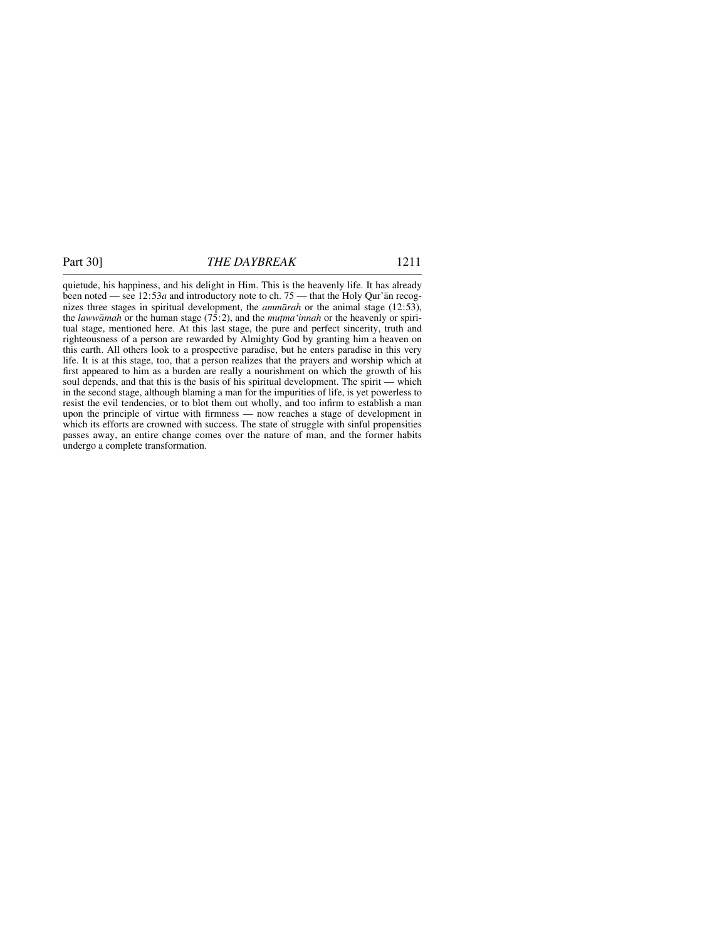quietude, his happiness, and his delight in Him. This is the heavenly life. It has already been noted — see 12:53*a* and introductory note to ch. 75 — that the Holy Qur'ån recognizes three stages in spiritual development, the *ammårah* or the animal stage (12:53), the *lawwāmah* or the human stage (75:2), and the *muṭma'innah* or the heavenly or spiritual stage, mentioned here. At this last stage, the pure and perfect sincerity, truth and righteousness of a person are rewarded by Almighty God by granting him a heaven on this earth. All others look to a prospective paradise, but he enters paradise in this very life. It is at this stage, too, that a person realizes that the prayers and worship which at first appeared to him as a burden are really a nourishment on which the growth of his soul depends, and that this is the basis of his spiritual development. The spirit — which in the second stage, although blaming a man for the impurities of life, is yet powerless to resist the evil tendencies, or to blot them out wholly, and too infirm to establish a man upon the principle of virtue with firmness — now reaches a stage of development in which its efforts are crowned with success. The state of struggle with sinful propensities passes away, an entire change comes over the nature of man, and the former habits undergo a complete transformation.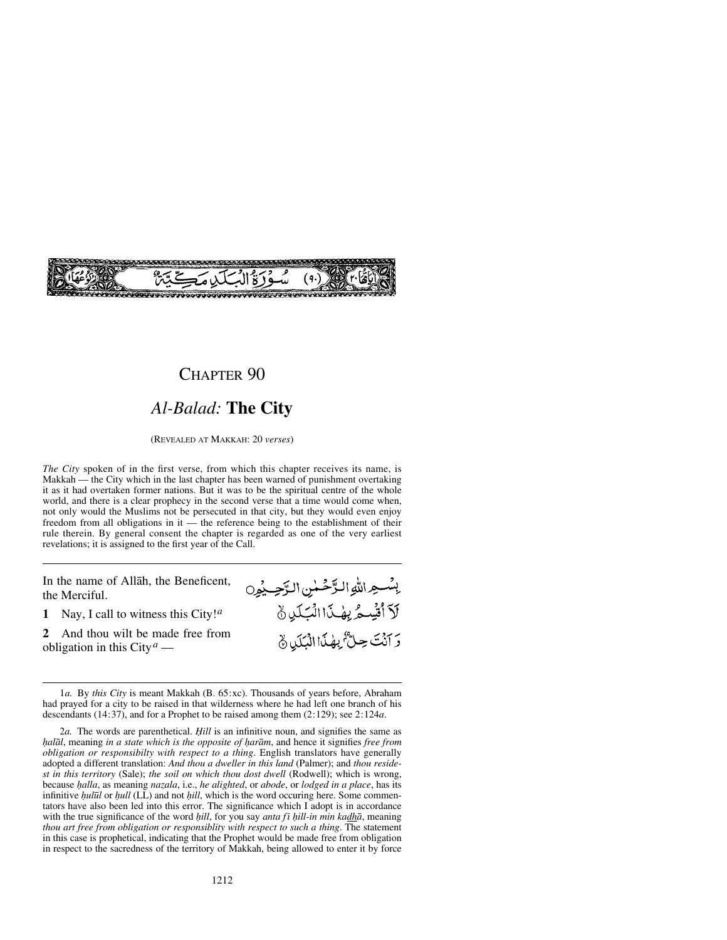

# *Al-Balad:* **The City**

(REVEALED AT MAKKAH: 20 *verses*)

*The City* spoken of in the first verse, from which this chapter receives its name, is Makkah — the City which in the last chapter has been warned of punishment overtaking it as it had overtaken former nations. But it was to be the spiritual centre of the whole world, and there is a clear prophecy in the second verse that a time would come when, not only would the Muslims not be persecuted in that city, but they would even enjoy freedom from all obligations in it — the reference being to the establishment of their rule therein. By general consent the chapter is regarded as one of the very earliest revelations; it is assigned to the first year of the Call.

In the name of Allåh, the Beneficent, the Merciful.

**2** And thou wilt be made free from obligation in this City*<sup>a</sup>* —

إِسْسِهِ اللَّهِ الرَّحْمٰنِ الرَّحِينُون لَآ أُقۡيِدِهُ لِهِفَ ٰآ الۡمَبَكِّلِ ﴾ رَبِّ بِنَ حِلٌّ بِهِٰذَا الْبَلَدِينَ

**<sup>1</sup>** Nay, I call to witness this City!*<sup>a</sup>*

<sup>1</sup>*a.* By *this City* is meant Makkah (B. 65:xc). Thousands of years before, Abraham had prayed for a city to be raised in that wilderness where he had left one branch of his descendants (14:37), and for a Prophet to be raised among them (2:129); see 2:124*a*.

<sup>2</sup>*a.* The words are parenthetical. *Ïill* is an infinitive noun, and signifies the same as *halāl*, meaning *in a state which is the opposite of harām*, and hence it signifies *free from obligation or responsibilty with respect to a thing*. English translators have generally adopted a different translation: *And thou a dweller in this land* (Palmer); and *thou residest in this territory* (Sale); *the soil on which thou dost dwell* (Rodwell); which is wrong, because *√alla*, as meaning *nazala*, i.e., *he alighted*, or *abode*, or *lodged in a place*, has its *infinitive <i>hulūl* or *hull* (LL) and not *hill*, which is the word occuring here. Some commentators have also been led into this error. The significance which I adopt is in accordance with the true significance of the word *hill*, for you say *anta fi hill-in min kadhā*, meaning *thou art free from obligation or responsiblity with respect to such a thing*. The statement in this case is prophetical, indicating that the Prophet would be made free from obligation in respect to the sacredness of the territory of Makkah, being allowed to enter it by force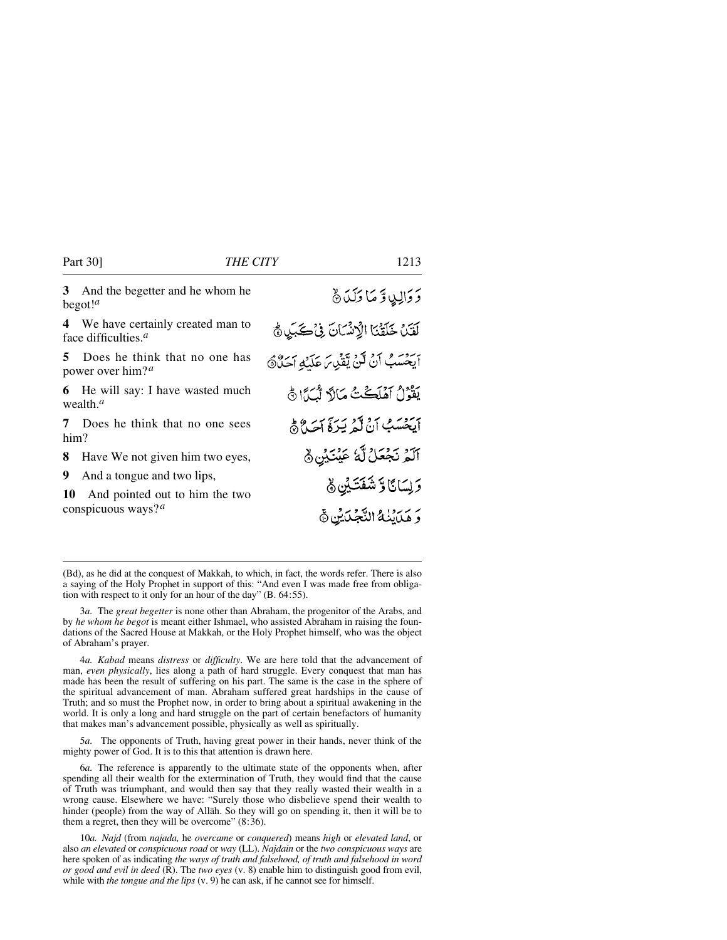#### Part 30] *THE CITY* 1213

**3** And the begetter and he whom he begot!*<sup>a</sup>*

**4** We have certainly created man to face difficulties.*<sup>a</sup>*

**5** Does he think that no one has power over him?*<sup>a</sup>*

**6** He will say: I have wasted much wealth.*<sup>a</sup>*

**7** Does he think that no one sees him?

**8** Have We not given him two eyes,

**9** And a tongue and two lips,

**10** And pointed out to him the two conspicuous ways?*<sup>a</sup>*

وَوَالِيدٍ وَمَا وَلَدَنَّ لَقَلَ خَلَقْنَا الْإِنْسَانَ فِي كَبَيْنِ ثَمّ بِرْدِيرِ مِنْ أَنْ يَقْدِيرَ عَدَيْهِ أَحَدٌ ﴾ يَقُوْلُ أَهْلَڪْتُ مَالاً لِّسْمَأَا ثَيْ أَيَخْسَبُ أَنْ لَّمْ يَرَهَّ أَحَيْنَ هُ آلَمُ نَجْعَلُ لَّهُ عَيْنَيْنِ ﴾ وَلِسَائًا وَ شَفَتَيْنِ ﴾ رُ سَرَدٍ بِهِ النَّجْبَايِنِ ﴾

(Bd), as he did at the conquest of Makkah, to which, in fact, the words refer. There is also a saying of the Holy Prophet in support of this: "And even I was made free from obligation with respect to it only for an hour of the day" (B. 64:55).

3*a.* The *great begetter* is none other than Abraham, the progenitor of the Arabs, and by *he whom he begot* is meant either Ishmael, who assisted Abraham in raising the foundations of the Sacred House at Makkah, or the Holy Prophet himself, who was the object of Abraham's prayer.

4*a. Kabad* means *distress* or *difficulty*. We are here told that the advancement of man, *even physically*, lies along a path of hard struggle. Every conquest that man has made has been the result of suffering on his part. The same is the case in the sphere of the spiritual advancement of man. Abraham suffered great hardships in the cause of Truth; and so must the Prophet now, in order to bring about a spiritual awakening in the world. It is only a long and hard struggle on the part of certain benefactors of humanity that makes man's advancement possible, physically as well as spiritually.

5*a.* The opponents of Truth, having great power in their hands, never think of the mighty power of God. It is to this that attention is drawn here.

6*a.* The reference is apparently to the ultimate state of the opponents when, after spending all their wealth for the extermination of Truth, they would find that the cause of Truth was triumphant, and would then say that they really wasted their wealth in a wrong cause. Elsewhere we have: "Surely those who disbelieve spend their wealth to hinder (people) from the way of Allåh. So they will go on spending it, then it will be to them a regret, then they will be overcome" (8:36).

10*a. Najd* (from *najada,* he *overcame* or *conquered*) means *high* or *elevated land*, or also *an elevated* or *conspicuous road* or *way* (LL). *Najdain* or the *two conspicuous ways* are here spoken of as indicating *the ways of truth and falsehood, of truth and falsehood in word or good and evil in deed* (R). The *two eyes* (v. 8) enable him to distinguish good from evil, while with *the tongue and the lips*  $(v, 9)$  he can ask, if he cannot see for himself.